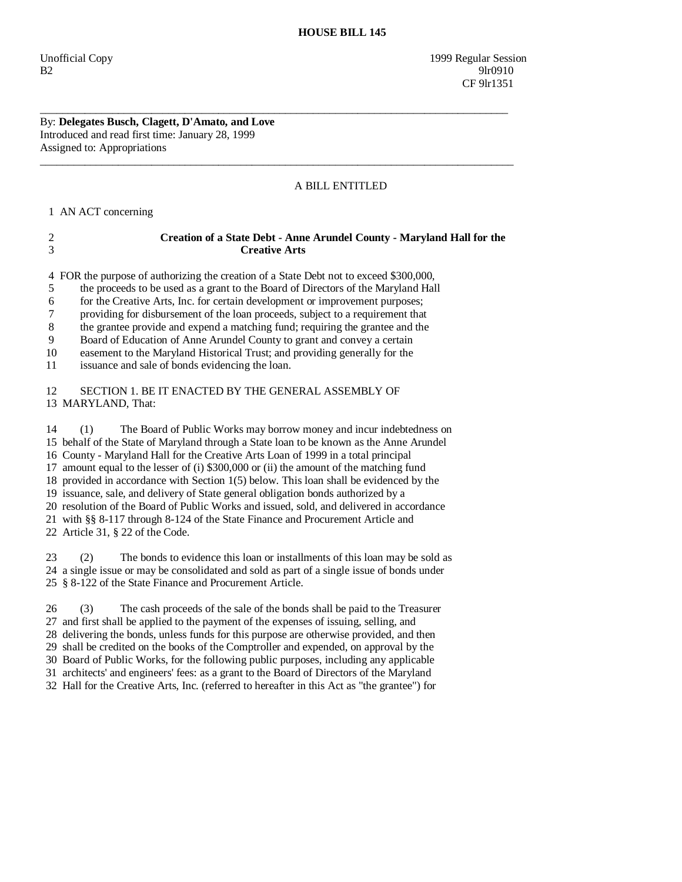Unofficial Copy 1999 Regular Session B2 9lr0910 CF 9lr1351

## By: **Delegates Busch, Clagett, D'Amato, and Love**  Introduced and read first time: January 28, 1999 Assigned to: Appropriations

## A BILL ENTITLED

1 AN ACT concerning

| 3                                      | <b>Creative Arts</b>                                                                                                                                                                                                                                                                                                                                                                                                                                                                                                                                                                                                                                                                                                                                    |
|----------------------------------------|---------------------------------------------------------------------------------------------------------------------------------------------------------------------------------------------------------------------------------------------------------------------------------------------------------------------------------------------------------------------------------------------------------------------------------------------------------------------------------------------------------------------------------------------------------------------------------------------------------------------------------------------------------------------------------------------------------------------------------------------------------|
| 4<br>5<br>6<br>7<br>8<br>9<br>10<br>11 | FOR the purpose of authorizing the creation of a State Debt not to exceed \$300,000,<br>the proceeds to be used as a grant to the Board of Directors of the Maryland Hall<br>for the Creative Arts, Inc. for certain development or improvement purposes;<br>providing for disbursement of the loan proceeds, subject to a requirement that<br>the grantee provide and expend a matching fund; requiring the grantee and the<br>Board of Education of Anne Arundel County to grant and convey a certain<br>easement to the Maryland Historical Trust; and providing generally for the<br>issuance and sale of bonds evidencing the loan.                                                                                                                |
| 12                                     | SECTION 1. BE IT ENACTED BY THE GENERAL ASSEMBLY OF                                                                                                                                                                                                                                                                                                                                                                                                                                                                                                                                                                                                                                                                                                     |
|                                        | 13 MARYLAND, That:                                                                                                                                                                                                                                                                                                                                                                                                                                                                                                                                                                                                                                                                                                                                      |
| 14                                     | The Board of Public Works may borrow money and incur indebtedness on<br>(1)<br>15 behalf of the State of Maryland through a State loan to be known as the Anne Arundel<br>16 County - Maryland Hall for the Creative Arts Loan of 1999 in a total principal<br>17 amount equal to the lesser of (i) \$300,000 or (ii) the amount of the matching fund<br>18 provided in accordance with Section 1(5) below. This loan shall be evidenced by the<br>19 issuance, sale, and delivery of State general obligation bonds authorized by a<br>20 resolution of the Board of Public Works and issued, sold, and delivered in accordance<br>21 with §§ 8-117 through 8-124 of the State Finance and Procurement Article and<br>22 Article 31, § 22 of the Code. |
| 23                                     | The bonds to evidence this loan or installments of this loan may be sold as<br>(2)<br>24 a single issue or may be consolidated and sold as part of a single issue of bonds under<br>25 § 8-122 of the State Finance and Procurement Article.                                                                                                                                                                                                                                                                                                                                                                                                                                                                                                            |
| 26                                     | The cash proceeds of the sale of the bonds shall be paid to the Treasurer<br>(3)<br>27 and first shall be applied to the payment of the expenses of issuing, selling, and<br>28 delivering the bonds, unless funds for this purpose are otherwise provided, and then                                                                                                                                                                                                                                                                                                                                                                                                                                                                                    |

\_\_\_\_\_\_\_\_\_\_\_\_\_\_\_\_\_\_\_\_\_\_\_\_\_\_\_\_\_\_\_\_\_\_\_\_\_\_\_\_\_\_\_\_\_\_\_\_\_\_\_\_\_\_\_\_\_\_\_\_\_\_\_\_\_\_\_\_\_\_\_\_\_\_\_\_\_\_\_\_\_\_\_\_

 $\overline{\phantom{a}}$  ,  $\overline{\phantom{a}}$  ,  $\overline{\phantom{a}}$  ,  $\overline{\phantom{a}}$  ,  $\overline{\phantom{a}}$  ,  $\overline{\phantom{a}}$  ,  $\overline{\phantom{a}}$  ,  $\overline{\phantom{a}}$  ,  $\overline{\phantom{a}}$  ,  $\overline{\phantom{a}}$  ,  $\overline{\phantom{a}}$  ,  $\overline{\phantom{a}}$  ,  $\overline{\phantom{a}}$  ,  $\overline{\phantom{a}}$  ,  $\overline{\phantom{a}}$  ,  $\overline{\phantom{a}}$ 

2 **Creation of a State Debt - Anne Arundel County - Maryland Hall for the** 

 29 shall be credited on the books of the Comptroller and expended, on approval by the 30 Board of Public Works, for the following public purposes, including any applicable 31 architects' and engineers' fees: as a grant to the Board of Directors of the Maryland

32 Hall for the Creative Arts, Inc. (referred to hereafter in this Act as "the grantee") for